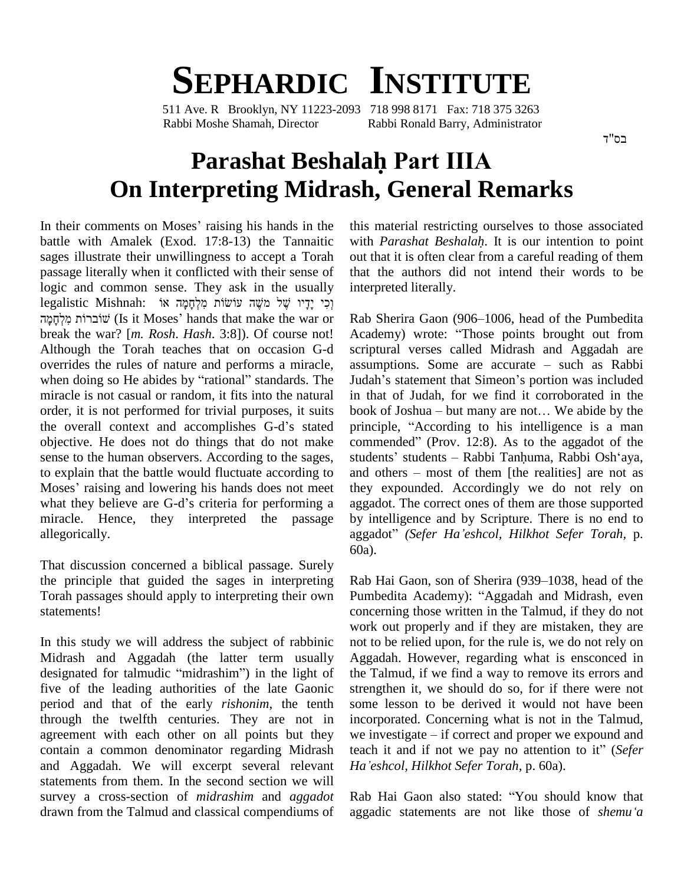## **SEPHARDIC INSTITUTE**

511 Ave. R Brooklyn, NY 11223-2093 718 998 8171 Fax: 718 375 3263 Rabbi Moshe Shamah, Director Rabbi Ronald Barry, Administrator

## **Parashat BeshalahPart IIIA On Interpreting Midrash, General Remarks**<br>In their comments on Moses' raising his hands in the this material restricting ourselves to those associated

battle with Amalek (Exod. 17:8-13) the Tannaitic sages illustrate their unwillingness to accept a Torah passage literally when it conflicted with their sense of logic and common sense. They ask in the usually interpr passage literally when it conflicted with their sense of<br>logic and common sense. They ask in the usually in<br>legalistic Mishnah: וְכִי יָדָיו שָׁל מֹשֶׁה עוֹשׂוֹת מִלְחָמָה אוֹ Īogic legalistic Mishnah: וְכִי יָדָיו שֶׁל מֹשֶׁה עוֹשׂוֹת מִלְחָמָה אוֹ<br>שוֹברוֹת מִלְחַמַּה (Is it Moses' hands that make the war or break the war? [*m. Rosh*. *Hash*. 3:8]). Of course not! Although the Torah teaches that on occasion G-d overrides the rules of nature and performs a miracle, assumptions. Some are accurate – such as Rabbi when doing so He abides by "rational" standards. The miracle is not casual or random, it fits into the natural order, it is not performed for trivial purposes, it suits miracle is not casual or random, it fits into the natural in that<br>order, it is not performed for trivial purposes, it suits book of<br>the overall context and accomplishes G-d's stated princip objective. He does not do things that do not make commended" (Prov. 12:8). As to the aggadot of the sense to the human observers. According to the sages, to explain that the battle would fluctuate according to and others – most of them [the realities] are not as sense to the human observers. According to the sages,<br>to explain that the battle would fluctuate according to<br>Moses' raising and lowering his hands does not meet th to explain that the battle would fluctuate according to and of Moses' raising and lowering his hands does not meet they what they believe are G-d's criteria for performing a aggade miracle. Hence, they interpreted the passage allegorically.

That discussion concerned a biblical passage. Surely the principle that guided the sages in interpreting Torah passages should apply to interpreting their own statements!

In this study we will address the subject of rabbinic Midrash and Aggadah (the latter term usually designated for talmudic "midrashim") in the light of five of the leading authorities of the late Gaonic period and that of the early *rishonim*, the tenth through the twelfth centuries. They are not in agreement with each other on all points but they we investigate – if correct and proper we expound and contain a common denominator regarding Midrash and Aggadah. We will excerpt several relevant Ha'eshcol, Hilkhot Sefer Torah, p. 60a). statements from them. In the second section we will survey a cross-section of *midrashim* and *aggadot* drawn from the Talmud and classical compendiums of aggadic statements are not like those of *shemu'a* 

this material restricting ourselves to those associated with *Parashat Beshalah*. It is our intention to point out that it is often clear from a careful reading of them that the authors did not intend their words to be interpreted literally.

Rab Sherira Gaon (906–1006, head of the Pumbedita Rab Sherira Gaon (906–1006, head of the Pumbedita<br>Academy) wrote: "Those points brought out from scriptural verses called Midrash and Aggadah are<br>assumptions. Some are accurate – such as Rabbi<br>Judah's statement that Simeon's portion was included Academy) wrote: "Those points brought out from<br>scriptural verses called Midrash and Aggadah are<br>assumptions. Some are accurate – such as Rabbi in that of Judah, for we find it corroborated in the Judah's statement that Simeon's portion was included<br>in that of Judah, for we find it corroborated in the<br>book of Joshua – but many are not... We abide by the in that of Judah, for we find it corroborated in the book of Joshua – but many are not... We abide by the principle, "According to his intelligence is a man book of Joshua – but many are not... We abide by the principle, "According to his intelligence is a man commended" (Prov. 12:8). As to the aggadot of the principle, "According to his intelligence is a man<br>commended" (Prov. 12:8). As to the aggadot of the<br>students' students – Rabbi Tanhuma, Rabbi Osh'aya, commended" (Prov. 12:8). As to the aggadot of the<br>students' students – Rabbi Tanhuma, Rabbi Osh'aya,<br>and others – most of them [the realities] are not as they expounded. Accordingly we do not rely on aggadot. The correct ones of them are those supported by intelligence and by Scripture. There is no end to aggadot. The correct ones of them are those supported<br>by intelligence and by Scripture. There is no end to<br>aggadot" (Sefer Ha'eshcol, Hilkhot Sefer Torah, p. 60a).

Rab Hai Gaon, son of Sherira (939–1038, head of the Pumbedita Academy): "Aggadah and Midrash, even concerning those written in the Talmud, if they do not work out properly and if they are mistaken, they are not to be relied upon, for the rule is, we do not rely on Aggadah. However, regarding what is ensconced in the Talmud, if we find a way to remove its errors and strengthen it, we should do so, for if there were not some lesson to be derived it would not have been incorporated. Concerning what is not in the Talmud, some lesson to be derived it would not have been<br>incorporated. Concerning what is not in the Talmud,<br>we investigate – if correct and proper we expound and incorporated. Concerning what is not in the Talmud,<br>we investigate – if correct and proper we expound and<br>teach it and if not we pay no attention to it<sup>\*</sup> (*Sefer HakHieshiptary Hillhot We pay no attention to it" (Sefer* Ha'eshcol, Hilkhot Sefer Torah, p. 60a).<br>Rab Hai Gaon also stated: "You should know that

Rab Hai Gaon also stated: "You should know that aggadic statements are not like those of *shemu*<sup>*'a*</sup>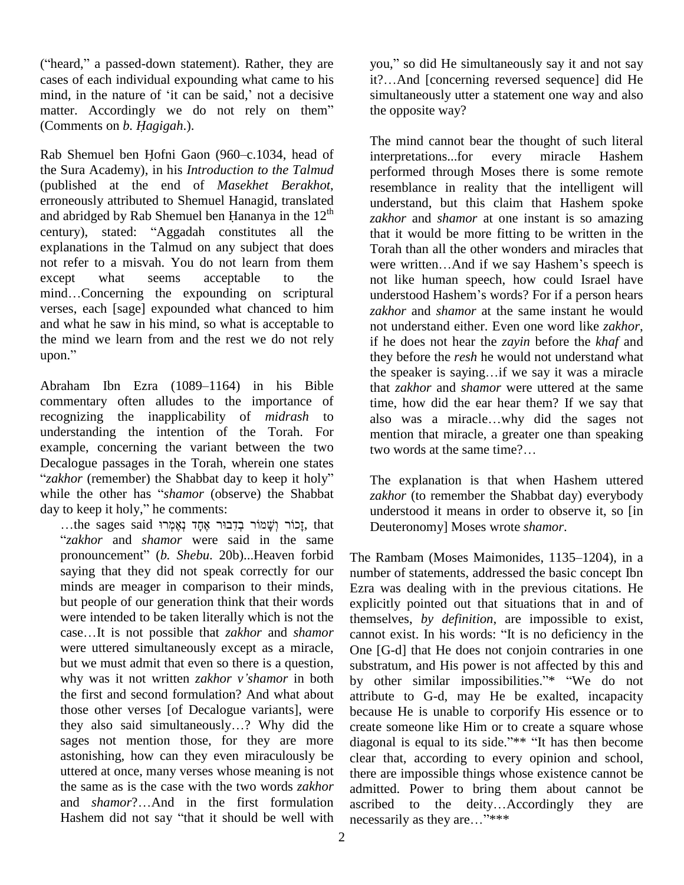("heard," a passed-down statement). Rather, they are y cases of each individual expounding what came to his ("heard," a passed-down statement). Rather, they are<br>cases of each individual expounding what came to his<br>mind, in the nature of 'it can be said,' not a decisive si cases of each individual expounding what came to his<br>mind, in the nature of 'it can be said,' not a decisive si<br>matter. Accordingly we do not rely on them" mind, in the nature of 'it can be<br>matter. Accordingly we do<br>(Comments on *b. Hagigah*.). (Comments on *b. Hagigah.*).<br>Rab Shemuel ben Hofni Gaon (960–c.1034, head of

the Sura Academy), in his *Introduction to the Talmud* (published at the end of *Masekhet Berakhot*, reproneously attributed to Shemuel Hanagid, translated und abridged by Rab Shemuel ben Hananya in the  $12^{th}$ erroneously attributed to Shemuel Hanagid, translated th erroneously attributed to Shemuel Hanagid, translated<br>and abridged by Rab Shemuel ben Hananya in the 12<sup>th</sup> za<br>century), stated: "Aggadah constitutes all the the explanations in the Talmud on any subject that does not refer to a misvah. You do not learn from them<br>
except what seems acceptable to the not like<br>
mind...Concerning the expounding on scriptural underst except what seems acceptable to the verses, each [sage] expounded what chanced to him and what he saw in his mind, so what is acceptable to not no<br>the mind we learn from and the rest we do not rely if<br>upon." the the mind we learn from and the rest we do not rely

commentary often alludes to the importance of recognizing the inapplicability of *midrash* to understanding the intention of the Torah. For example, concerning the variant between the two<br>Decalogue passages in the Torah, wherein one states<br>*<sup><i>'</sup>zakhor* (remember) the Shabbat day to keep it holy<sup>?</sup> Th</sup> Decalogue passages in the Torah, wherein one states<br>"zakhor (remember) the Shabbat day to keep it holy"<br>while the other has "*shamor* (observe) the Shabbat "zakhor (remember) the Shabbat day to while the other has "shamor (observed ay to keep it holy," he comments: le the other has "shamor (observe) the Shabbat<br>to keep it holy," he comments:<br>...the sages said יְכוֹר יְשָׁמוֹר בְדָבוּר אֶחֶד נְאֶמְרוּ.

*zakhor* and *shamor* were said in the same pronouncement<sup>î</sup> (*b. Shebu*. 20b)..Heaven forbid saying that they did not speak correctly for our minds are meager in comparison to their minds, but people of our generation think that their words expl<br>were intended to be taken literally which is not the then<br>case...It is not possible that *zakhor* and *shamor* cann were intended to be taken literally which is not the were uttered simultaneously except as a miracle, but we must admit that even so there is a question, why was it not written *zakhor <sup>v</sup>íshamor* in both the first and second formulation? And what about<br>those other verses [of Decalogue variants], were<br>they also said simultaneously...? Why did the<br>create those other verses [of Decalogue variants], were sages not mention those, for they are more astonishing, how can they even miraculously be uttered at once, many verses whose meaning is not<br>the same as is the case with the two words *zakhor* admitt<br>and *shamor*?...And in the first formulation ascribthe same as is the case with the two words *zakhor* and *shamor*?...And in the first formulation ascribed to the deity...Accordingly they Hashem did not say "that it should be well with necessarily as they are  $\frac{1}{10}$  "\*\*\*

you," so did He simultaneously say it and not say you," so did He simultaneously say it and not say<br>it?…And [concerning reversed sequence] did He simultaneously utter a statement one way and also the opposite way?

upon."<br>
they before the *resh* he would not understand what<br>
the speaker is saying...if we say it was a miracle<br>
Abraham Ibn Ezra (1089–1164) in his Bible<br>
that *zakhor* and *shamor* were uttered at the same The mind cannot bear the thought of such literal interpretations...for every miracle Hashem performed through Moses there is some remote resemblance in reality that the intelligent will understand, but this claim that Hashem spoke *zakhor* and *shamor* at one instant is so amazing that it would be more fitting to be written in the<br>Torah than all the other wonders and miracles that<br>were written...And if we say Hashem's speech is Torah than all the other wonders and miracles that not like human speech, how could Israel have were written...And if we say Hashem's speech is<br>not like human speech, how could Israel have<br>understood Hashem's words? For if a person hears *zakhor* and *shamor* at the same instant he would not understand either. Even one word like *zakhor*, if he does not hear the *zayin* before the *khaf* and they before the *resh* he would not understand what the speaker is saying...if we say it was a miracle they before the *resh* he would not understand what that *zakhor* and *shamor* were uttered at the same time, how did the ear hear them? If we say that that *zakhor* and *shamor* were uttered at the same<br>time, how did the ear hear them? If we say that<br>also was a miracle...why did the sages not mention that miracle, a greater one than speaking also was a miracle...why did the sages no<br>mention that miracle, a greater one than speakin<br>two words at the same time?...

> The explanation is that when Hashem uttered *zakhor* (to remember the Shabbat day) everybody understood it means in order to observe it, so [in Deuteronomy] Moses wrote *shamor*.

The Rambam (Moses Maimonides,  $1135-1204$ ), in a number of statements, addressed the basic concept Ibn Ezra was dealing with in the previous citations. He explicitly pointed out that situations that in and of themselves, *by definition*, are impossible to exist, explicitly pointed out that situations that in and of themselves, *by definition*, are impossible to exist, cannot exist. In his words: "It is no deficiency in the One [G-d] that He does not conjoin contraries in one substratum, and His power is not affected by this and by other similar impossibilities."\* "We do not attribute to G-d, may He be exalted, incapacity because He is unable to corporify His essence or to create someone like Him or to create a square whose diagonal is equal to its side."\*\* "It has then become clear that, according to every opinion and school, there are impossible things whose existence cannot be admitted. Power to bring them about cannot be there are impossible things whose existence cannot be<br>admitted. Power to bring them about cannot be<br>ascribed to the deity...Accordingly they are necessarily as they are..."\*\*\*\*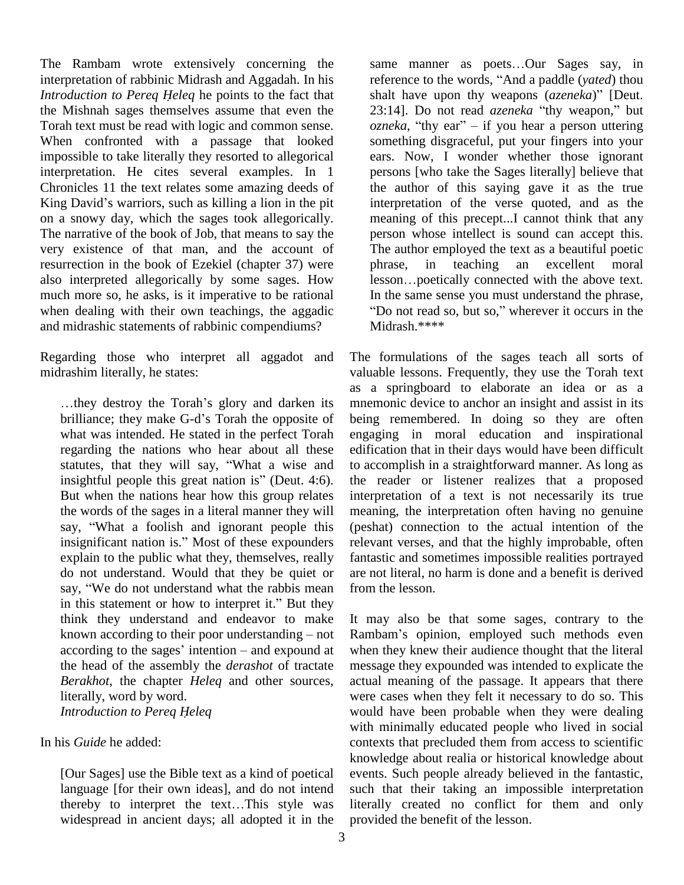The Rambam wrote extensively concerning the interpretation of rabbinic Midrash and Aggadah. In his reference to the words, "And a paddle (*vated*) thou *Introduction to Pereq <sup>H</sup>eleq* he points to the fact that the Mishnah sages themselves assume that even the 23:14]. Do not read *azeneka* "thy weapon," but Torah text must be read with logic and common sense. When confronted with a passage that looked impossible to take literally they resorted to allegorical interpretation. He cites several examples. In 1 Chronicles 11 the text relates some amazing deeds of King David's warriors, such as killing a lion in the pit on a snowy day, which the sages took allegorically. The narrative of the book of Job, that means to say the very existence of that man, and the account of resurrection in the book of Ezekiel (chapter 37) were phrase, also interpreted allegorically by some sages. How lesson...poetically connected with the above text. much more so, he asks, is it imperative to be rational when dealing with their own teachings, the aggadic "Do not read so, but so," wherever it occurs in the and midrashic statements of rabbinic compendiums?

Regarding those who interpret all aggadot and midrashim literally, he states:

...they destroy the Torah's glory and darken its brilliance; they make G-d's Torah the opposite of what was intended. He stated in the perfect Torah regarding the nations who hear about all these what was intended. He stated in the perfect Torah engage regarding the nations who hear about all these edificated statutes, that they will say, "What a wise and to acce regarding the nations who hear about all these extatutes, that they will say, "What a wise and to insightful people this great nation is" (Deut. 4:6). But when the nations hear how this group relates inter-<br>the words of the sages in a literal manner they will mea-<br>say, "What a foolish and ignorant people this (pesthe words of the sages in a literal manner they will say, "What a foolish and ignorant people this insignificant nation is." Most of these expounders explain to the public what they, themselves, really do not understand. Would that they be quiet or explain to the public what they, themselves, really<br>do not understand. Would that they be quiet or are no<br>say, "We do not understand what the rabbis mean from t do not understand. Would that they be quiet or are no say, "We do not understand what the rabbis mean from t<br>in this statement or how to interpret it." But they think they understand and endeavor to make in this statement or how to interpret it." But they<br>think they understand and endeavor to make It<br>known according to their poor understanding – not Ra known according to their poor understanding  $-$  not according to the sages' intention  $-$  and expound at the head of the assembly the *derashot* of tractate *Berakhot*, the chapter *Heleq* and other sources, *Introduction to Pereq <sup>H</sup>eleq* literally, word by word.

In his *Guide* he added:

[Our Sages] use the Bible text as a kind of poetical ever<br>language [for their own ideas], and do not intend such<br>thereby to interpret the text...This style was liter language [for their own ideas], and do not intend widespread in ancient days; all adopted it in the

same manner as poets...Our Sages say, in reference to the words, <sup>..</sup>Our Sages say, in reference to the words, "And a paddle (*yated*) thou same manner as poets...Our Sages say, in<br>reference to the words, "And a paddle (*yated*) thou<br>shalt have upon thy weapons (*azeneka*)" [Deut. reference to the words, "And a paddle (*yated*) thou<br>shalt have upon thy weapons *(azeneka)*" [Deut.<br>23:14]. Do not read *azeneka* "thy weapon," but *shalt have upon thy weapons (azeneka)*" [Deut.<br>23:14]. Do not read *azeneka* "thy weapon," but *ozneka*, "thy ear" – if you hear a person uttering something disgraceful, put your fingers into your ears. Now, I wonder whether those ignorant persons [who take the Sages literally] believe that the author of this saying gave it as the true interpretation of the verse quoted, and as the meaning of this precept...I cannot think that any person whose intellect is sound can accept this. The author employed the text as a beautiful poetic<br>phrase, in teaching an excellent moral<br>lesson...poetically connected with the above text. in teaching an excellent moral Iesson...poetically connected with the above text.<br>In the same sense you must understand the phrase,<br>"Do not read so, but so," wherever it occurs in the Midrash.\*\*\*\*

The formulations of the sages teach all sorts of valuable lessons. Frequently, they use the Torah text as a springboard to elaborate an idea or as a mnemonic device to anchor an insight and assist in its being remembered. In doing so they are often engaging in moral education and inspirational edification that in their days would have been difficult to accomplish in a straightforward manner. As long as the reader or listener realizes that a proposed interpretation of a text is not necessarily its true meaning, the interpretation often having no genuine (peshat) connection to the actual intention of the relevant verses, and that the highly improbable, often fantastic and sometimes impossible realities portrayed are not literal, no harm is done and a benefit is derived from the lesson.

It may also be that some sages, contrary to the Rambamí<sup>s</sup> opinion, employed such methods even when they knew their audience thought that the literal message they expounded was intended to explicate the actual meaning of the passage. It appears that there were cases when they felt it necessary to do so. This would have been probable when they were dealing with minimally educated people who lived in social contexts that precluded them from access to scientific knowledge about realia or historical knowledge about events. Such people already believed in the fantastic, such that their taking an impossible interpretation literally created no conflict for them and only provided the benefit of the lesson.